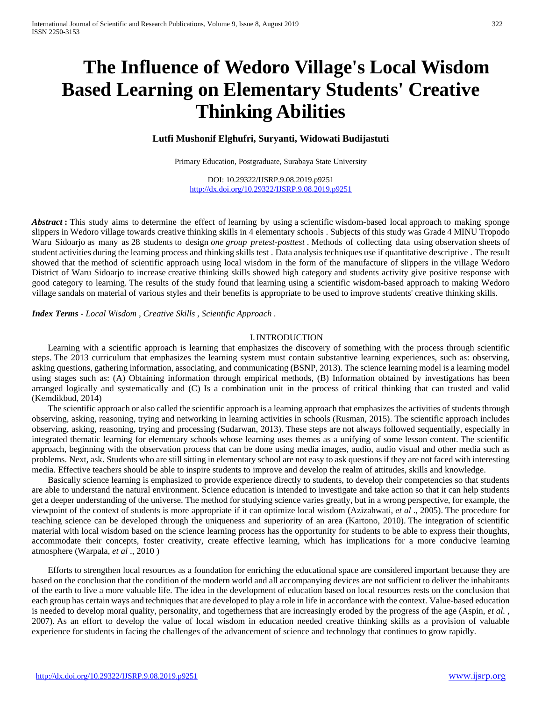# **The Influence of Wedoro Village's Local Wisdom Based Learning on Elementary Students' Creative Thinking Abilities**

# **Lutfi Mushonif Elghufri, Suryanti, Widowati Budijastuti**

Primary Education, Postgraduate, Surabaya State University

DOI: 10.29322/IJSRP.9.08.2019.p9251 <http://dx.doi.org/10.29322/IJSRP.9.08.2019.p9251>

*Abstract*: This study aims to determine the effect of learning by using a scientific wisdom-based local approach to making sponge slippers in Wedoro village towards creative thinking skills in 4 elementary schools . Subjects of this study was Grade 4 MINU Tropodo Waru Sidoarjo as many as 28 students to design *one group pretest-posttest* . Methods of collecting data using observation sheets of student activities during the learning process and thinking skills test. Data analysis techniques use if quantitative descriptive. The result showed that the method of scientific approach using local wisdom in the form of the manufacture of slippers in the village Wedoro District of Waru Sidoarjo to increase creative thinking skills showed high category and students activity give positive response with good category to learning. The results of the study found that learning using a scientific wisdom-based approach to making Wedoro village sandals on material of various styles and their benefits is appropriate to be used to improve students' creative thinking skills.

*Index Terms* - *Local Wisdom , Creative Skills , Scientific Approach .*

#### I.INTRODUCTION

Learning with a scientific approach is learning that emphasizes the discovery of something with the process through scientific steps. The 2013 curriculum that emphasizes the learning system must contain substantive learning experiences, such as: observing, asking questions, gathering information, associating, and communicating (BSNP, 2013). The science learning model is a learning model using stages such as: (A) Obtaining information through empirical methods, (B) Information obtained by investigations has been arranged logically and systematically and (C) Is a combination unit in the process of critical thinking that can trusted and valid (Kemdikbud, 2014)

The scientific approach or also called the scientific approach is a learning approach that emphasizes the activities of students through observing, asking, reasoning, trying and networking in learning activities in schools (Rusman, 2015). The scientific approach includes observing, asking, reasoning, trying and processing (Sudarwan, 2013). These steps are not always followed sequentially, especially in integrated thematic learning for elementary schools whose learning uses themes as a unifying of some lesson content. The scientific approach, beginning with the observation process that can be done using media images, audio, audio visual and other media such as problems. Next, ask. Students who are still sitting in elementary school are not easy to ask questions if they are not faced with interesting media. Effective teachers should be able to inspire students to improve and develop the realm of attitudes, skills and knowledge.

Basically science learning is emphasized to provide experience directly to students, to develop their competencies so that students are able to understand the natural environment. Science education is intended to investigate and take action so that it can help students get a deeper understanding of the universe. The method for studying science varies greatly, but in a wrong perspective, for example, the viewpoint of the context of students is more appropriate if it can optimize local wisdom (Azizahwati, *et al* ., 2005). The procedure for teaching science can be developed through the uniqueness and superiority of an area (Kartono, 2010). The integration of scientific material with local wisdom based on the science learning process has the opportunity for students to be able to express their thoughts, accommodate their concepts, foster creativity, create effective learning, which has implications for a more conducive learning atmosphere (Warpala, *et al* ., 2010 )

Efforts to strengthen local resources as a foundation for enriching the educational space are considered important because they are based on the conclusion that the condition of the modern world and all accompanying devices are not sufficient to deliver the inhabitants of the earth to live a more valuable life. The idea in the development of education based on local resources rests on the conclusion that each group has certain ways and techniques that are developed to play a role in life in accordance with the context. Value-based education is needed to develop moral quality, personality, and togetherness that are increasingly eroded by the progress of the age (Aspin, *et al.* , 2007). As an effort to develop the value of local wisdom in education needed creative thinking skills as a provision of valuable experience for students in facing the challenges of the advancement of science and technology that continues to grow rapidly.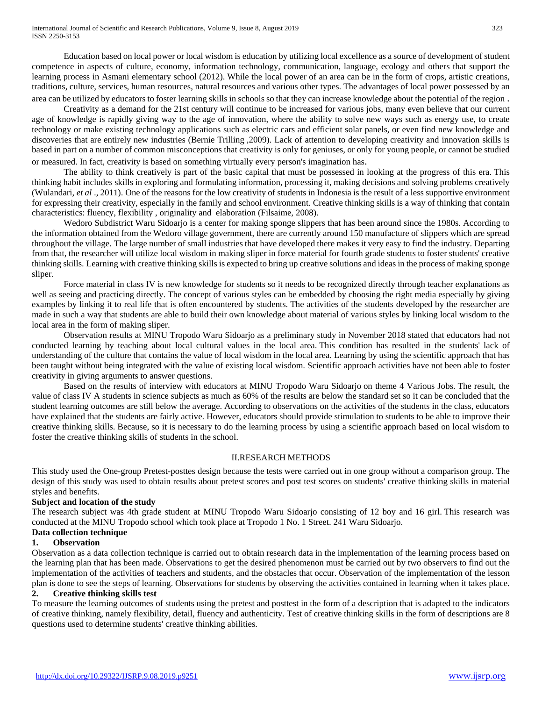Education based on local power or local wisdom is education by utilizing local excellence as a source of development of student competence in aspects of culture, economy, information technology, communication, language, ecology and others that support the learning process in Asmani elementary school (2012). While the local power of an area can be in the form of crops, artistic creations, traditions, culture, services, human resources, natural resources and various other types. The advantages of local power possessed by an area can be utilized by educators to foster learning skills in schools so that they can increase knowledge about the potential of the region .

Creativity as a demand for the 21st century will continue to be increased for various jobs, many even believe that our current age of knowledge is rapidly giving way to the age of innovation, where the ability to solve new ways such as energy use, to create technology or make existing technology applications such as electric cars and efficient solar panels, or even find new knowledge and discoveries that are entirely new industries (Bernie Trilling ,2009). Lack of attention to developing creativity and innovation skills is based in part on a number of common misconceptions that creativity is only for geniuses, or only for young people, or cannot be studied or measured. In fact, creativity is based on something virtually every person's imagination has.

The ability to think creatively is part of the basic capital that must be possessed in looking at the progress of this era. This thinking habit includes skills in exploring and formulating information, processing it, making decisions and solving problems creatively (Wulandari, *et al* ., 2011). One of the reasons for the low creativity of students in Indonesia is the result of a less supportive environment for expressing their creativity, especially in the family and school environment. Creative thinking skills is a way of thinking that contain characteristics: fluency, flexibility , originality and elaboration (Filsaime, 2008).

Wedoro Subdistrict Waru Sidoarjo is a center for making sponge slippers that has been around since the 1980s. According to the information obtained from the Wedoro village government, there are currently around 150 manufacture of slippers which are spread throughout the village. The large number of small industries that have developed there makes it very easy to find the industry. Departing from that, the researcher will utilize local wisdom in making sliper in force material for fourth grade students to foster students' creative thinking skills. Learning with creative thinking skills is expected to bring up creative solutions and ideas in the process of making sponge sliper.

Force material in class IV is new knowledge for students so it needs to be recognized directly through teacher explanations as well as seeing and practicing directly. The concept of various styles can be embedded by choosing the right media especially by giving examples by linking it to real life that is often encountered by students. The activities of the students developed by the researcher are made in such a way that students are able to build their own knowledge about material of various styles by linking local wisdom to the local area in the form of making sliper.

Observation results at MINU Tropodo Waru Sidoarjo as a preliminary study in November 2018 stated that educators had not conducted learning by teaching about local cultural values in the local area. This condition has resulted in the students' lack of understanding of the culture that contains the value of local wisdom in the local area. Learning by using the scientific approach that has been taught without being integrated with the value of existing local wisdom. Scientific approach activities have not been able to foster creativity in giving arguments to answer questions.

Based on the results of interview with educators at MINU Tropodo Waru Sidoarjo on theme 4 Various Jobs. The result, the value of class IV A students in science subjects as much as 60% of the results are below the standard set so it can be concluded that the student learning outcomes are still below the average. According to observations on the activities of the students in the class, educators have explained that the students are fairly active. However, educators should provide stimulation to students to be able to improve their creative thinking skills. Because, so it is necessary to do the learning process by using a scientific approach based on local wisdom to foster the creative thinking skills of students in the school.

# II.RESEARCH METHODS

This study used the One-group Pretest-posttes design because the tests were carried out in one group without a comparison group. The design of this study was used to obtain results about pretest scores and post test scores on students' creative thinking skills in material styles and benefits.

#### **Subject and location of the study**

The research subject was 4th grade student at MINU Tropodo Waru Sidoarjo consisting of 12 boy and 16 girl. This research was conducted at the MINU Tropodo school which took place at Tropodo 1 No. 1 Street. 241 Waru Sidoarjo.

#### **Data collection technique**

## **1. Observation**

Observation as a data collection technique is carried out to obtain research data in the implementation of the learning process based on the learning plan that has been made. Observations to get the desired phenomenon must be carried out by two observers to find out the implementation of the activities of teachers and students, and the obstacles that occur. Observation of the implementation of the lesson plan is done to see the steps of learning. Observations for students by observing the activities contained in learning when it takes place.

### **2. Creative thinking skills test**

To measure the learning outcomes of students using the pretest and posttest in the form of a description that is adapted to the indicators of creative thinking, namely flexibility, detail, fluency and authenticity. Test of creative thinking skills in the form of descriptions are 8 questions used to determine students' creative thinking abilities.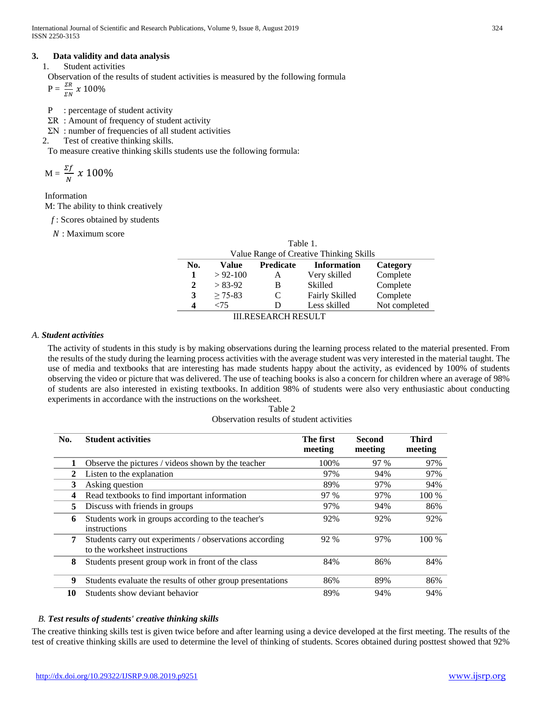## **3. Data validity and data analysis**

1. Student activities

Observation of the results of student activities is measured by the following formula

 $P = \frac{\Sigma R}{E N}$  $\frac{1}{2N}$  x 100%

- P : percentage of student activity
- ΣR : Amount of frequency of student activity
- ΣN : number of frequencies of all student activities
- 2. Test of creative thinking skills.

To measure creative thinking skills students use the following formula:

$$
M = \frac{\Sigma f}{N} \times 100\%
$$

Information

M: The ability to think creatively

*f* : Scores obtained by students

: Maximum score

| Table 1.                                |              |                  |                       |               |  |  |
|-----------------------------------------|--------------|------------------|-----------------------|---------------|--|--|
| Value Range of Creative Thinking Skills |              |                  |                       |               |  |  |
| No.                                     | Value        | <b>Predicate</b> | <b>Information</b>    | Category      |  |  |
| 1                                       | $> 92 - 100$ | A                | Very skilled          | Complete      |  |  |
| 2                                       | $> 83-92$    | В                | Skilled               | Complete      |  |  |
| 3                                       | $> 75-83$    | C                | <b>Fairly Skilled</b> | Complete      |  |  |
| 4                                       | -75          |                  | Less skilled          | Not completed |  |  |
| ECE A DAU DECHI T                       |              |                  |                       |               |  |  |

III.RESEARCH RESULT

## *A. Student activities*

The activity of students in this study is by making observations during the learning process related to the material presented. From the results of the study during the learning process activities with the average student was very interested in the material taught. The use of media and textbooks that are interesting has made students happy about the activity, as evidenced by 100% of students observing the video or picture that was delivered. The use of teaching books is also a concern for children where an average of 98% of students are also interested in existing textbooks. In addition 98% of students were also very enthusiastic about conducting experiments in accordance with the instructions on the worksheet.

| Table 2                                   |
|-------------------------------------------|
| Observation results of student activities |

| No. | <b>Student activities</b>                                                                | The first<br>meeting | <b>Second</b><br>meeting | <b>Third</b><br>meeting |
|-----|------------------------------------------------------------------------------------------|----------------------|--------------------------|-------------------------|
| 1   | Observe the pictures / videos shown by the teacher                                       | 100%                 | 97 %                     | 97%                     |
| 2   | Listen to the explanation                                                                | 97%                  | 94%                      | 97%                     |
| 3   | Asking question                                                                          | 89%                  | 97%                      | 94%                     |
| 4   | Read textbooks to find important information                                             | 97 %                 | 97%                      | 100 %                   |
| 5   | Discuss with friends in groups                                                           | 97%                  | 94%                      | 86%                     |
| 6   | Students work in groups according to the teacher's<br>instructions                       | 92%                  | 92%                      | 92%                     |
| 7   | Students carry out experiments / observations according<br>to the worksheet instructions |                      | 97%                      | $100\%$                 |
| 8   | Students present group work in front of the class                                        | 84%                  | 86%                      | 84%                     |
| 9   | Students evaluate the results of other group presentations                               | 86%                  | 89%                      | 86%                     |
| 10  | Students show deviant behavior                                                           | 89%                  | 94%                      | 94%                     |

# *B. Test results of students' creative thinking skills*

The creative thinking skills test is given twice before and after learning using a device developed at the first meeting. The results of the test of creative thinking skills are used to determine the level of thinking of students. Scores obtained during posttest showed that 92%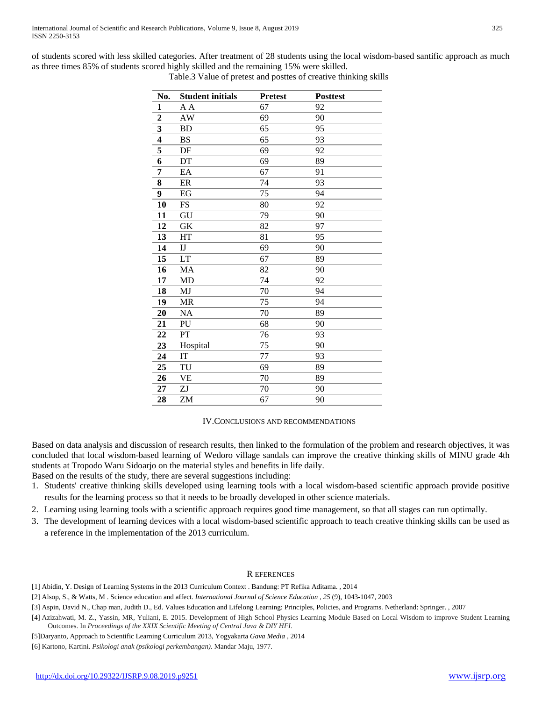of students scored with less skilled categories. After treatment of 28 students using the local wisdom-based santific approach as much as three times 85% of students scored highly skilled and the remaining 15% were skilled.

| No.                     | <b>Student initials</b> | <b>Pretest</b> | <b>Posttest</b> |
|-------------------------|-------------------------|----------------|-----------------|
| 1                       | A A                     | 67             | 92              |
| $\overline{2}$          | AW                      | 69             | 90              |
| 3                       | <b>BD</b>               | 65             | 95              |
| $\overline{\mathbf{4}}$ | <b>BS</b>               | 65             | 93              |
| 5                       | DF                      | 69             | 92              |
| 6                       | DT                      | 69             | 89              |
| 7                       | EA                      | 67             | 91              |
| 8                       | ER                      | 74             | 93              |
| 9                       | EG                      | 75             | 94              |
| 10                      | FS                      | 80             | 92              |
| 11                      | GU                      | 79             | 90              |
| 12                      | <b>GK</b>               | 82             | 97              |
| 13                      | HT                      | 81             | 95              |
| 14                      | $_{IJ}$                 | 69             | 90              |
| 15                      | LT                      | 67             | 89              |
| 16                      | MA                      | 82             | 90              |
| 17                      | MD                      | 74             | 92              |
| 18                      | MJ                      | 70             | 94              |
| 19                      | <b>MR</b>               | 75             | 94              |
| 20                      | <b>NA</b>               | 70             | 89              |
| 21                      | PU                      | 68             | 90              |
| 22                      | PT                      | 76             | 93              |
| 23                      | Hospital                | 75             | 90              |
| 24                      | IT                      | 77             | 93              |
| 25                      | TU                      | 69             | 89              |
| 26                      | <b>VE</b>               | 70             | 89              |
| 27                      | ZJ                      | 70             | 90              |
| 28                      | ZM                      | 67             | 90              |

Table.3 Value of pretest and posttes of creative thinking skills

#### IV.CONCLUSIONS AND RECOMMENDATIONS

Based on data analysis and discussion of research results, then linked to the formulation of the problem and research objectives, it was concluded that local wisdom-based learning of Wedoro village sandals can improve the creative thinking skills of MINU grade 4th students at Tropodo Waru Sidoarjo on the material styles and benefits in life daily.

Based on the results of the study, there are several suggestions including:

- 1. Students' creative thinking skills developed using learning tools with a local wisdom-based scientific approach provide positive results for the learning process so that it needs to be broadly developed in other science materials.
- 2. Learning using learning tools with a scientific approach requires good time management, so that all stages can run optimally.
- 3. The development of learning devices with a local wisdom-based scientific approach to teach creative thinking skills can be used as a reference in the implementation of the 2013 curriculum.

#### R EFERENCES

[1] Abidin, Y. Design of Learning Systems in the 2013 Curriculum Context . Bandung: PT Refika Aditama. , 2014

[2] Alsop, S., & Watts, M . Science education and affect. *International Journal of Science Education* , *25* (9), 1043-1047, 2003

[3] Aspin, David N., Chap man, Judith D., Ed. Values Education and Lifelong Learning: Principles, Policies, and Programs. Netherland: Springer. , 2007

[4] Azizahwati, M. Z., Yassin, MR, Yuliani, E. 2015. Development of High School Physics Learning Module Based on Local Wisdom to improve Student Learning Outcomes. In *Proceedings of the XXIX Scientific Meeting of Central Java & DIY HFI*.

[5]Daryanto, Approach to Scientific Learning Curriculum 2013, Yogyakarta *Gava Media ,* 2014

[6] Kartono, Kartini. *Psikologi anak (psikologi perkembangan)*. Mandar Maju, 1977.